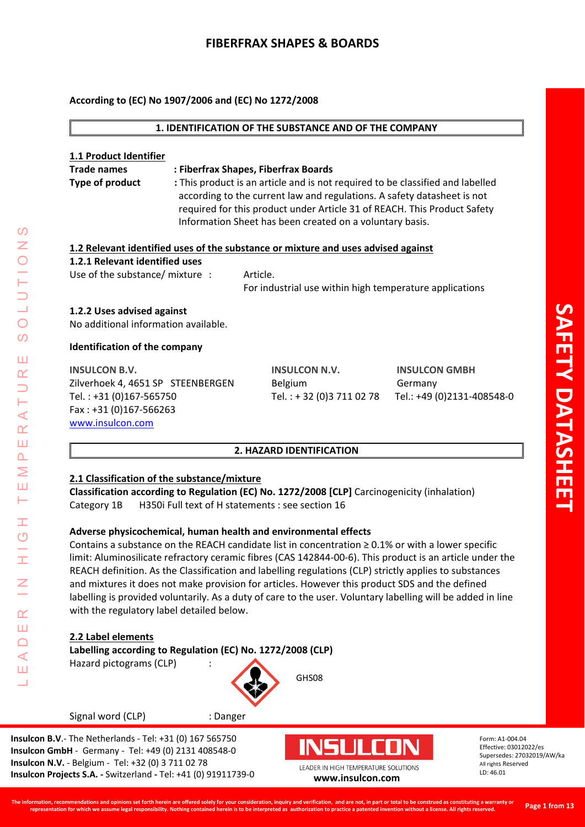## **According to (EC) No 1907/2006 and (EC) No 1272/2008**

| 1. IDENTIFICATION OF THE SUBSTANCE AND OF THE COMPANY                                               |  |                                                                                |                            |
|-----------------------------------------------------------------------------------------------------|--|--------------------------------------------------------------------------------|----------------------------|
|                                                                                                     |  |                                                                                |                            |
| 1.1 Product Identifier                                                                              |  |                                                                                |                            |
| <b>Trade names</b>                                                                                  |  | : Fiberfrax Shapes, Fiberfrax Boards                                           |                            |
| <b>Type of product</b>                                                                              |  | : This product is an article and is not required to be classified and labelled |                            |
|                                                                                                     |  | according to the current law and regulations. A safety datasheet is not        |                            |
|                                                                                                     |  | required for this product under Article 31 of REACH. This Product Safety       |                            |
|                                                                                                     |  | Information Sheet has been created on a voluntary basis.                       |                            |
| 1.2 Relevant identified uses of the substance or mixture and uses advised against                   |  |                                                                                |                            |
| 1.2.1 Relevant identified uses                                                                      |  |                                                                                |                            |
| Use of the substance/ mixture :                                                                     |  | Article.                                                                       |                            |
|                                                                                                     |  | For industrial use within high temperature applications                        |                            |
| 1.2.2 Uses advised against<br>No additional information available.<br>Identification of the company |  |                                                                                |                            |
| <b>INSULCON B.V.</b>                                                                                |  | <b>INSULCON N.V.</b>                                                           | <b>INSULCON GMBH</b>       |
| Zilverhoek 4, 4651 SP STEENBERGEN                                                                   |  | Belgium                                                                        | Germany                    |
| Tel.: +31 (0)167-565750                                                                             |  | Tel.: +32 (0)3 711 02 78                                                       | Tel.: +49 (0)2131-408548-0 |
| Fax: +31 (0)167-566263                                                                              |  |                                                                                |                            |
| www.insulcon.com                                                                                    |  |                                                                                |                            |
|                                                                                                     |  |                                                                                |                            |
| 2. HAZARD IDENTIFICATION                                                                            |  |                                                                                |                            |
| 2.1 Classification of the substance/mixture                                                         |  |                                                                                |                            |

**Classification according to Regulation (EC) No. 1272/2008 [CLP]** Carcinogenicity (inhalation) Category 1B H350i Full text of H statements : see section 16

# **Adverse physicochemical, human health and environmental effects**

Contains a substance on the REACH candidate list in concentration  $\geq 0.1\%$  or with a lower specific limit: Aluminosilicate refractory ceramic fibres (CAS 142844-00-6). This product is an article under the REACH definition. As the Classification and labelling regulations (CLP) strictly applies to substances and mixtures it does not make provision for articles. However this product SDS and the defined labelling is provided voluntarily. As a duty of care to the user. Voluntary labelling will be added in line with the regulatory label detailed below.

GHS08

# **2.2 Label elements**

LEADER IN HIGH TEMPERATURE SOLUTIONS

Ŧ  $\overline{\mathcal{O}}$  $\frac{1}{1}$ 

 $\overline{z}$ 

 $\alpha$ Ш  $\Box$  $\prec$ Ш Ц

 $\overline{O}$ Z

 $\overline{O}$ 

 $\boldsymbol{\omega}$ 

Ш  $\alpha$  $\overline{\phantom{0}}$ Н  $\prec$  $\alpha$ Ш  $\overline{\mathbf{r}}$ Σ Ш Н

**Labelling according to Regulation (EC) No. 1272/2008 (CLP)**

Hazard pictograms (CLP) :



Signal word (CLP) : Danger

**Insulcon B.V**.- The Netherlands - Tel: +31 (0) 167 565750 **Insulcon GmbH** - Germany - Tel: +49 (0) 2131 408548-0 **Insulcon N.V.** - Belgium - Tel: +32 (0) 3 711 02 78 **Insulcon Projects S.A. -** Switzerland **-** Tel: +41 (0) 91911739-0 **[www.insulcon.com](http://www.insulcon.com/)**

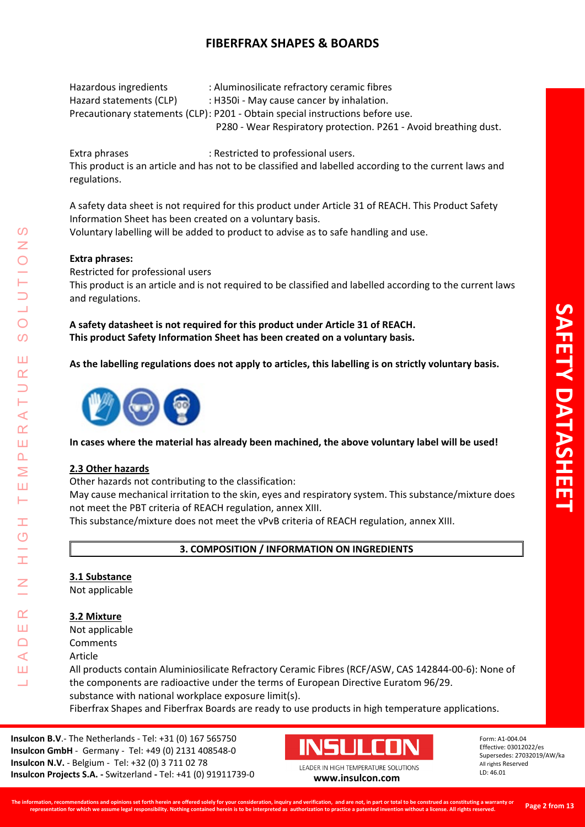Hazardous ingredients : Aluminosilicate refractory ceramic fibres Hazard statements (CLP) : H350i - May cause cancer by inhalation. Precautionary statements (CLP): P201 - Obtain special instructions before use. P280 - Wear Respiratory protection. P261 - Avoid breathing dust.

Extra phrases : Restricted to professional users. This product is an article and has not to be classified and labelled according to the current laws and regulations.

A safety data sheet is not required for this product under Article 31 of REACH. This Product Safety Information Sheet has been created on a voluntary basis.

Voluntary labelling will be added to product to advise as to safe handling and use.

# **Extra phrases:**

Restricted for professional users This product is an article and is not required to be classified and labelled according to the current laws and regulations.

**A safety datasheet is not required for this product under Article 31 of REACH. This product Safety Information Sheet has been created on a voluntary basis.**

**As the labelling regulations does not apply to articles, this labelling is on strictly voluntary basis.** 



**In cases where the material has already been machined, the above voluntary label will be used!**

# **2.3 Other hazards**

LEADER IN HIGH TEMPERATURE SOLUTIONS

Ŧ  $\overline{O}$ 

 $\alpha$ Ш  $\Box$  $\blacktriangleleft$ Ш 山

⋖  $\alpha$ Ш  $\overline{\mathbf{r}}$ Σ Ш Н

<u>(၇</u>

 $\overline{O}$  $\Omega$ 

Ш  $\overline{\mathbf{r}}$ 

Other hazards not contributing to the classification:

May cause mechanical irritation to the skin, eyes and respiratory system. This substance/mixture does not meet the PBT criteria of REACH regulation, annex XIII.

This substance/mixture does not meet the vPvB criteria of REACH regulation, annex XIII.

**3. COMPOSITION / INFORMATION ON INGREDIENTS**

# **3.1 Substance**

Not applicable

#### **3.2 Mixture**

Not applicable

- Comments
- Article

All products contain Aluminiosilicate Refractory Ceramic Fibres (RCF/ASW, CAS 142844-00-6): None of the components are radioactive under the terms of European Directive Euratom 96/29. substance with national workplace exposure limit(s).

Fiberfrax Shapes and Fiberfrax Boards are ready to use products in high temperature applications.

**Insulcon B.V**.- The Netherlands - Tel: +31 (0) 167 565750 **Insulcon GmbH** - Germany - Tel: +49 (0) 2131 408548-0 **Insulcon N.V.** - Belgium - Tel: +32 (0) 3 711 02 78 **Insulcon Projects S.A. -** Switzerland **-** Tel: +41 (0) 91911739-0 **[www.insulcon.com](http://www.insulcon.com/)**

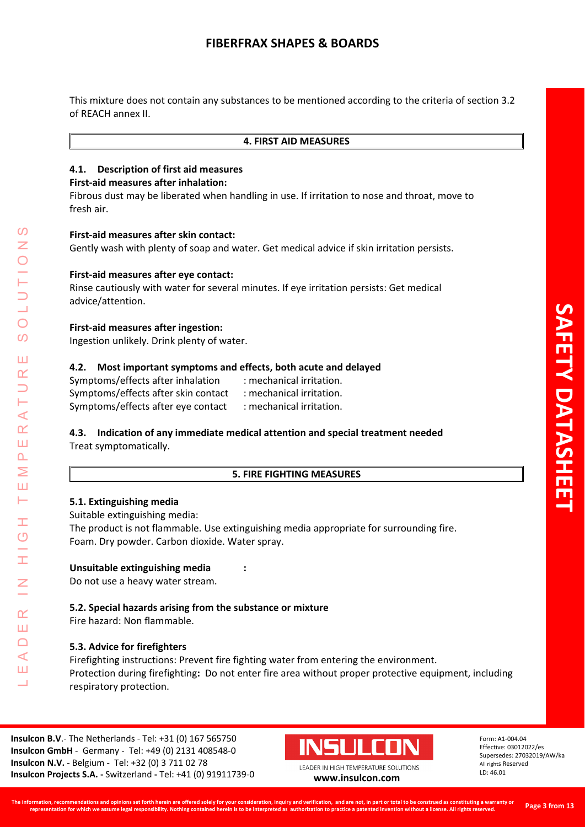This mixture does not contain any substances to be mentioned according to the criteria of section 3.2 of REACH annex II.

#### **4. FIRST AID MEASURES**

### **4.1. Description of first aid measures**

#### **First-aid measures after inhalation:**

Fibrous dust may be liberated when handling in use. If irritation to nose and throat, move to fresh air.

#### **First-aid measures after skin contact:**

Gently wash with plenty of soap and water. Get medical advice if skin irritation persists.

## **First-aid measures after eye contact:**

Rinse cautiously with water for several minutes. If eye irritation persists: Get medical advice/attention.

#### **First-aid measures after ingestion:**

Ingestion unlikely. Drink plenty of water.

## **4.2. Most important symptoms and effects, both acute and delayed**

Symptoms/effects after inhalation : mechanical irritation. Symptoms/effects after skin contact : mechanical irritation. Symptoms/effects after eye contact : mechanical irritation.

## **4.3. Indication of any immediate medical attention and special treatment needed** Treat symptomatically.

#### **5. FIRE FIGHTING MEASURES**

#### **5.1. Extinguishing media**

Suitable extinguishing media: The product is not flammable. Use extinguishing media appropriate for surrounding fire. Foam. Dry powder. Carbon dioxide. Water spray.

#### **Unsuitable extinguishing media :**

Do not use a heavy water stream.

# **5.2. Special hazards arising from the substance or mixture**

Fire hazard: Non flammable.

# **5.3. Advice for firefighters**

Firefighting instructions: Prevent fire fighting water from entering the environment. Protection during firefighting**:** Do not enter fire area without proper protective equipment, including respiratory protection.

**Insulcon B.V**.- The Netherlands - Tel: +31 (0) 167 565750 **Insulcon GmbH** - Germany - Tel: +49 (0) 2131 408548-0 **Insulcon N.V.** - Belgium - Tel: +32 (0) 3 711 02 78 **Insulcon Projects S.A. -** Switzerland **-** Tel: +41 (0) 91911739-0 **[www.insulcon.com](http://www.insulcon.com/)**



Form: A1-004.04 Effective: 03012022/es Supersedes: 27032019/AW/ka All rights Reserved LD: 46.01

<u>(၇</u> LEADER IN HIGH TEMPERATURE SOLUTIONS  $\overline{O}$  $\Omega$ Ш  $\alpha$  $\prec$  $\alpha$ Ш  $\overline{\mathbf{r}}$  $\geq$ Ш Н Ŧ  $\overline{O}$  $\alpha$ Ш  $\Box$ ⋖ Ш 山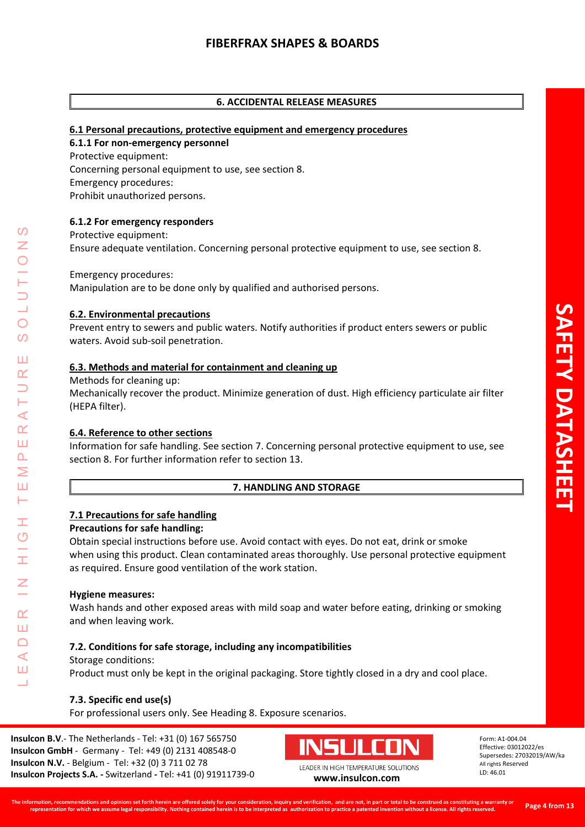## **6. ACCIDENTAL RELEASE MEASURES**

#### **6.1 Personal precautions, protective equipment and emergency procedures**

#### **6.1.1 For non-emergency personnel**

Protective equipment: Concerning personal equipment to use, see section 8. Emergency procedures: Prohibit unauthorized persons.

#### **6.1.2 For emergency responders**

Protective equipment: Ensure adequate ventilation. Concerning personal protective equipment to use, see section 8.

Emergency procedures:

Manipulation are to be done only by qualified and authorised persons.

#### **6.2. Environmental precautions**

Prevent entry to sewers and public waters. Notify authorities if product enters sewers or public waters. Avoid sub-soil penetration.

#### **6.3. Methods and material for containment and cleaning up**

Methods for cleaning up:

Mechanically recover the product. Minimize generation of dust. High efficiency particulate air filter (HEPA filter).

#### **6.4. Reference to other sections**

Information for safe handling. See section 7. Concerning personal protective equipment to use, see section 8. For further information refer to section 13.

#### **7. HANDLING AND STORAGE**

#### **7.1 Precautions for safe handling**

#### **Precautions for safe handling:**

Obtain special instructions before use. Avoid contact with eyes. Do not eat, drink or smoke when using this product. Clean contaminated areas thoroughly. Use personal protective equipment as required. Ensure good ventilation of the work station.

#### **Hygiene measures:**

LEADER IN HIGH TEMPERATURE SOLUTIONS

Ŧ  $\overline{O}$ 

 $\alpha$ Ш  $\Box$ ⋖ Ш 山

 $\prec$  $\alpha$ Ш  $\overline{\mathbf{r}}$  $\geq$ Ш Н

<u>(၇</u>

 $\overline{O}$  $\overline{O}$ 

Ш  $\alpha$ 

> Wash hands and other exposed areas with mild soap and water before eating, drinking or smoking and when leaving work.

#### **7.2. Conditions for safe storage, including any incompatibilities**

#### Storage conditions:

Product must only be kept in the original packaging. Store tightly closed in a dry and cool place.

#### **7.3. Specific end use(s)**

For professional users only. See Heading 8. Exposure scenarios.

**Insulcon B.V**.- The Netherlands - Tel: +31 (0) 167 565750 **Insulcon GmbH** - Germany - Tel: +49 (0) 2131 408548-0 **Insulcon N.V.** - Belgium - Tel: +32 (0) 3 711 02 78 **Insulcon Projects S.A. -** Switzerland **-** Tel: +41 (0) 91911739-0 **[www.insulcon.com](http://www.insulcon.com/)**

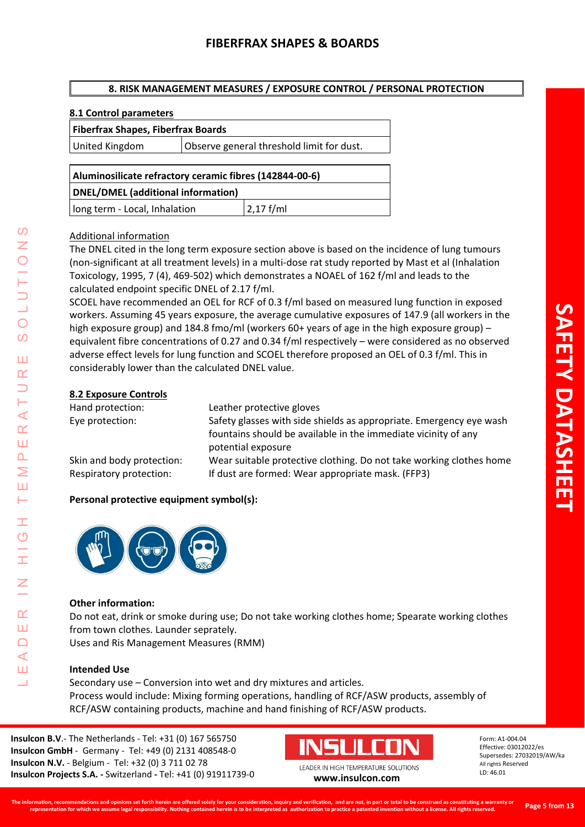# **8. RISK MANAGEMENT MEASURES / EXPOSURE CONTROL / PERSONAL PROTECTION**

## **8.1 Control parameters**

#### **Fiberfrax Shapes, Fiberfrax Boards**

United Kingdom | Observe general threshold limit for dust.

# **Aluminosilicate refractory ceramic fibres (142844-00-6) DNEL/DMEL (additional information)**

long term - Local, Inhalation  $|2,17$  f/ml

## Additional information

The DNEL cited in the long term exposure section above is based on the incidence of lung tumours (non-significant at all treatment levels) in a multi-dose rat study reported by Mast et al (Inhalation Toxicology, 1995, 7 (4), 469-502) which demonstrates a NOAEL of 162 f/ml and leads to the calculated endpoint specific DNEL of 2.17 f/ml.

SCOEL have recommended an OEL for RCF of 0.3 f/ml based on measured lung function in exposed workers. Assuming 45 years exposure, the average cumulative exposures of 147.9 (all workers in the high exposure group) and 184.8 fmo/ml (workers 60+ years of age in the high exposure group) – equivalent fibre concentrations of 0.27 and 0.34 f/ml respectively – were considered as no observed adverse effect levels for lung function and SCOEL therefore proposed an OEL of 0.3 f/ml. This in considerably lower than the calculated DNEL value.

## **8.2 Exposure Controls**

LEADER IN HIGH TEMPERATURE SOLUTIONS

Ŧ  $\overline{O}$ 

 $\alpha$ Ш  $\Box$ ⋖ Ш 山

<u>(၇</u>

 $\overline{O}$  $\overline{O}$ 

Ш  $\alpha$  $\overline{\phantom{0}}$ Н  $\prec$  $\alpha$ Ш  $\overline{\mathbf{r}}$ Σ Ш H.

| Hand protection:          | Leather protective gloves                                                            |
|---------------------------|--------------------------------------------------------------------------------------|
| Eye protection:           | Safety glasses with side shields as appropriate. Emergency eye wash                  |
|                           | fountains should be available in the immediate vicinity of any<br>potential exposure |
| Skin and body protection: | Wear suitable protective clothing. Do not take working clothes home                  |
| Respiratory protection:   | If dust are formed: Wear appropriate mask. (FFP3)                                    |

# **Personal protective equipment symbol(s):**



#### **Other information:**

Do not eat, drink or smoke during use; Do not take working clothes home; Spearate working clothes from town clothes. Launder seprately.

Uses and Ris Management Measures (RMM)

# **Intended Use**

Secondary use – Conversion into wet and dry mixtures and articles. Process would include: Mixing forming operations, handling of RCF/ASW products, assembly of RCF/ASW containing products, machine and hand finishing of RCF/ASW products.

**Insulcon B.V**.- The Netherlands - Tel: +31 (0) 167 565750 **Insulcon GmbH** - Germany - Tel: +49 (0) 2131 408548-0 **Insulcon N.V.** - Belgium - Tel: +32 (0) 3 711 02 78 **Insulcon Projects S.A. -** Switzerland **-** Tel: +41 (0) 91911739-0 **[www.insulcon.com](http://www.insulcon.com/)**

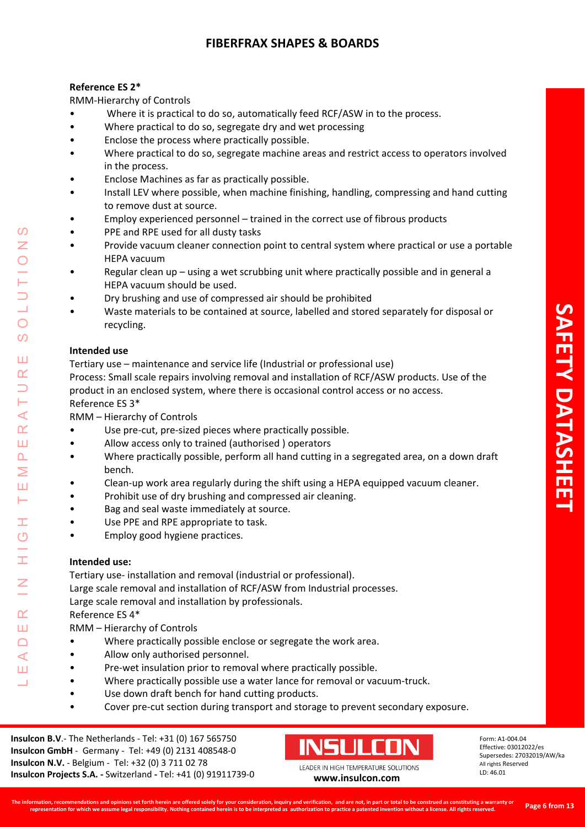# **Reference ES 2\***

RMM-Hierarchy of Controls

- Where it is practical to do so, automatically feed RCF/ASW in to the process.
- Where practical to do so, segregate dry and wet processing
- Enclose the process where practically possible.
- Where practical to do so, segregate machine areas and restrict access to operators involved in the process.
- Enclose Machines as far as practically possible.
- Install LEV where possible, when machine finishing, handling, compressing and hand cutting to remove dust at source.
- Employ experienced personnel trained in the correct use of fibrous products
- PPE and RPE used for all dusty tasks
- Provide vacuum cleaner connection point to central system where practical or use a portable HEPA vacuum
- Regular clean up using a wet scrubbing unit where practically possible and in general a HEPA vacuum should be used.
- Dry brushing and use of compressed air should be prohibited
- Waste materials to be contained at source, labelled and stored separately for disposal or recycling.

# **Intended use**

LEADER IN HIGH TEMPERATURE SOLUTIONS

Ŧ  $\overline{O}$ 

 $\alpha$ Ш  $\Box$  $\prec$ Ш 山

 $\blacktriangleleft$  $\alpha$ Ш  $\overline{\mathbf{r}}$ Σ Ш Н

<u>(၇</u>

 $\overline{O}$  $\overline{O}$ 

Ш  $\alpha$ 

Tertiary use – maintenance and service life (Industrial or professional use)

Process: Small scale repairs involving removal and installation of RCF/ASW products. Use of the product in an enclosed system, where there is occasional control access or no access. Reference ES 3\*

RMM – Hierarchy of Controls

- Use pre-cut, pre-sized pieces where practically possible.
- Allow access only to trained (authorised ) operators
- Where practically possible, perform all hand cutting in a segregated area, on a down draft bench.
- Clean-up work area regularly during the shift using a HEPA equipped vacuum cleaner.
- Prohibit use of dry brushing and compressed air cleaning.
- Bag and seal waste immediately at source.
- Use PPE and RPE appropriate to task.
- Employ good hygiene practices.

# **Intended use:**

Tertiary use- installation and removal (industrial or professional). Large scale removal and installation of RCF/ASW from Industrial processes. Large scale removal and installation by professionals. Reference ES 4\*

RMM – Hierarchy of Controls

- Where practically possible enclose or segregate the work area.
- Allow only authorised personnel.
- Pre-wet insulation prior to removal where practically possible.
- Where practically possible use a water lance for removal or vacuum-truck.
- Use down draft bench for hand cutting products.
- Cover pre-cut section during transport and storage to prevent secondary exposure.

**Insulcon B.V**.- The Netherlands - Tel: +31 (0) 167 565750 **Insulcon GmbH** - Germany - Tel: +49 (0) 2131 408548-0 **Insulcon N.V.** - Belgium - Tel: +32 (0) 3 711 02 78 **Insulcon Projects S.A. -** Switzerland **-** Tel: +41 (0) 91911739-0 **[www.insulcon.com](http://www.insulcon.com/)**

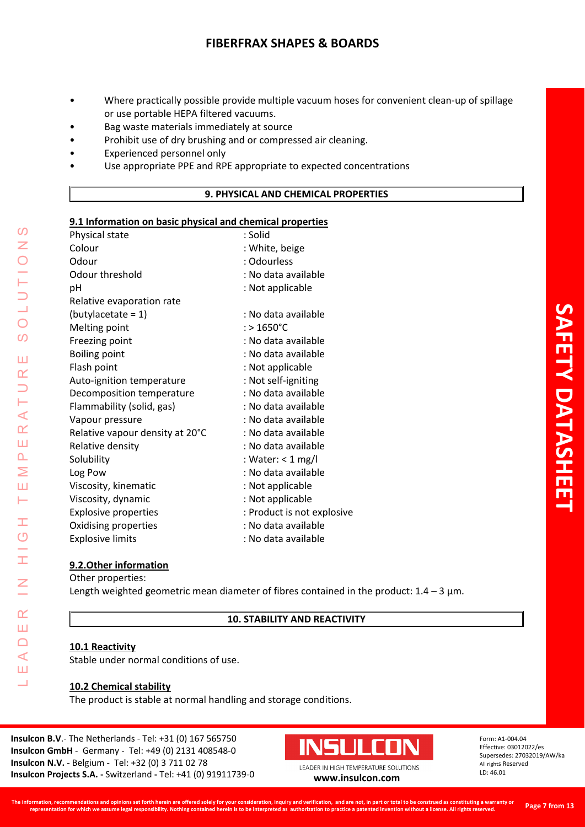- Where practically possible provide multiple vacuum hoses for convenient clean-up of spillage or use portable HEPA filtered vacuums.
- Bag waste materials immediately at source
- Prohibit use of dry brushing and or compressed air cleaning.
- Experienced personnel only
- Use appropriate PPE and RPE appropriate to expected concentrations

#### **9. PHYSICAL AND CHEMICAL PROPERTIES**

## **9.1 Information on basic physical and chemical properties**

| ---------                       |                            |
|---------------------------------|----------------------------|
| Physical state                  | : Solid                    |
| Colour                          | : White, beige             |
| Odour                           | : Odourless                |
| Odour threshold                 | : No data available        |
| pH                              | : Not applicable           |
| Relative evaporation rate       |                            |
| $(butylaceate = 1)$             | : No data available        |
| Melting point                   | $:$ > 1650°C               |
| Freezing point                  | : No data available        |
| <b>Boiling point</b>            | : No data available        |
| Flash point                     | : Not applicable           |
| Auto-ignition temperature       | : Not self-igniting        |
| Decomposition temperature       | : No data available        |
| Flammability (solid, gas)       | : No data available        |
| Vapour pressure                 | : No data available        |
| Relative vapour density at 20°C | : No data available        |
| Relative density                | : No data available        |
| Solubility                      | : Water: $<$ 1 mg/l        |
| Log Pow                         | : No data available        |
| Viscosity, kinematic            | : Not applicable           |
| Viscosity, dynamic              | : Not applicable           |
| <b>Explosive properties</b>     | : Product is not explosive |
| Oxidising properties            | : No data available        |
| <b>Explosive limits</b>         | : No data available        |
|                                 |                            |

#### **9.2.Other information**

Other properties:

LEADER IN HIGH TEMPERATURE SOLUTIONS

Ŧ O

Ī.

 $\alpha$ Ш  $\Box$  $\blacktriangleleft$ Ш Ц

 $\Omega$ Z

 $\overline{O}$ 

 $\overline{O}$ 

Ш  $\alpha$  $\Box$ H  $\prec$  $\alpha$ Ш  $\overline{\mathbf{r}}$ Σ Ш Н

Length weighted geometric mean diameter of fibres contained in the product:  $1.4 - 3 \mu m$ .

**10. STABILITY AND REACTIVITY**

#### **10.1 Reactivity**

Stable under normal conditions of use.

#### **10.2 Chemical stability**

The product is stable at normal handling and storage conditions.

**Insulcon B.V**.- The Netherlands - Tel: +31 (0) 167 565750 **Insulcon GmbH** - Germany - Tel: +49 (0) 2131 408548-0 **Insulcon N.V.** - Belgium - Tel: +32 (0) 3 711 02 78 **Insulcon Projects S.A. -** Switzerland **-** Tel: +41 (0) 91911739-0 **[www.insulcon.com](http://www.insulcon.com/)**

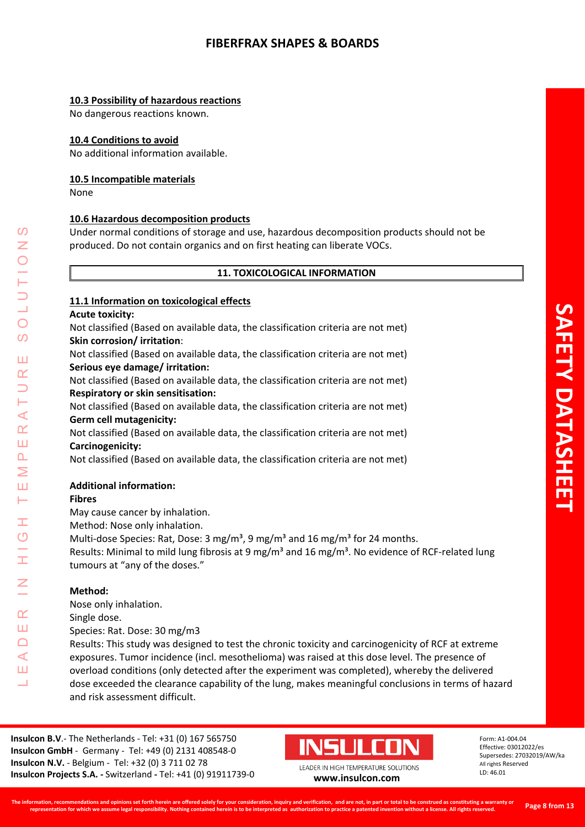## **10.3 Possibility of hazardous reactions**

No dangerous reactions known.

### **10.4 Conditions to avoid**

No additional information available.

#### **10.5 Incompatible materials**

None

## **10.6 Hazardous decomposition products**

Under normal conditions of storage and use, hazardous decomposition products should not be produced. Do not contain organics and on first heating can liberate VOCs.

#### **11. TOXICOLOGICAL INFORMATION**

#### **11.1 Information on toxicological effects**

#### **Acute toxicity:**

Not classified (Based on available data, the classification criteria are not met) **Skin corrosion/ irritation**:

Not classified (Based on available data, the classification criteria are not met) **Serious eye damage/ irritation:**

Not classified (Based on available data, the classification criteria are not met) **Respiratory or skin sensitisation:**

Not classified (Based on available data, the classification criteria are not met) **Germ cell mutagenicity:**

Not classified (Based on available data, the classification criteria are not met) **Carcinogenicity:**

Not classified (Based on available data, the classification criteria are not met)

#### **Additional information:**

#### **Fibres**

LEADER IN HIGH TEMPERATURE SOLUTIONS

Ŧ  $\overline{O}$ 

 $\alpha$ Ш  $\Box$  $\prec$ Ш 山

 $\blacktriangleleft$  $\alpha$ Ш  $\overline{\mathbf{r}}$ Σ Ш Н

<u>(၇</u> Z

 $\bigcirc$  $\Omega$ 

Ш  $\alpha$ 

May cause cancer by inhalation.

Method: Nose only inhalation.

Multi-dose Species: Rat, Dose: 3 mg/m<sup>3</sup>, 9 mg/m<sup>3</sup> and 16 mg/m<sup>3</sup> for 24 months.

Results: Minimal to mild lung fibrosis at 9 mg/m<sup>3</sup> and 16 mg/m<sup>3</sup>. No evidence of RCF-related lung tumours at "any of the doses."

#### **Method:**

Nose only inhalation.

Single dose.

Species: Rat. Dose: 30 mg/m3

Results: This study was designed to test the chronic toxicity and carcinogenicity of RCF at extreme exposures. Tumor incidence (incl. mesothelioma) was raised at this dose level. The presence of overload conditions (only detected after the experiment was completed), whereby the delivered dose exceeded the clearance capability of the lung, makes meaningful conclusions in terms of hazard and risk assessment difficult.

**Insulcon B.V**.- The Netherlands - Tel: +31 (0) 167 565750 **Insulcon GmbH** - Germany - Tel: +49 (0) 2131 408548-0 **Insulcon N.V.** - Belgium - Tel: +32 (0) 3 711 02 78 **Insulcon Projects S.A. -** Switzerland **-** Tel: +41 (0) 91911739-0 **[www.insulcon.com](http://www.insulcon.com/)**

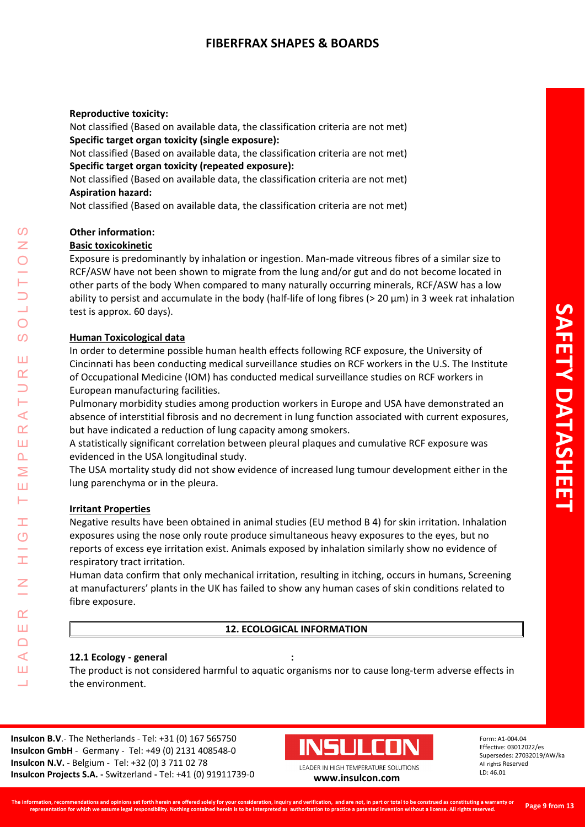#### **Reproductive toxicity:**

Not classified (Based on available data, the classification criteria are not met) **Specific target organ toxicity (single exposure):**

Not classified (Based on available data, the classification criteria are not met) **Specific target organ toxicity (repeated exposure):**

Not classified (Based on available data, the classification criteria are not met) **Aspiration hazard:**

Not classified (Based on available data, the classification criteria are not met)

## **Other information:**

#### **Basic toxicokinetic**

Exposure is predominantly by inhalation or ingestion. Man-made vitreous fibres of a similar size to RCF/ASW have not been shown to migrate from the lung and/or gut and do not become located in other parts of the body When compared to many naturally occurring minerals, RCF/ASW has a low ability to persist and accumulate in the body (half-life of long fibres (> 20 μm) in 3 week rat inhalation test is approx. 60 days).

#### **Human Toxicological data**

In order to determine possible human health effects following RCF exposure, the University of Cincinnati has been conducting medical surveillance studies on RCF workers in the U.S. The Institute of Occupational Medicine (IOM) has conducted medical surveillance studies on RCF workers in European manufacturing facilities.

Pulmonary morbidity studies among production workers in Europe and USA have demonstrated an absence of interstitial fibrosis and no decrement in lung function associated with current exposures, but have indicated a reduction of lung capacity among smokers.

A statistically significant correlation between pleural plaques and cumulative RCF exposure was evidenced in the USA longitudinal study.

The USA mortality study did not show evidence of increased lung tumour development either in the lung parenchyma or in the pleura.

#### **Irritant Properties**

LEADER IN HIGH TEMPERATURE SOLUTIONS

Ŧ  $\overline{O}$ 

 $\alpha$ Ш  $\Box$  $\prec$ Ш 山

 $\blacktriangleleft$  $\underline{\alpha}$ Ш  $\overline{\mathbf{r}}$ Σ Ш Н

 $\Omega$ Z

 $\bigcirc$  $\Omega$ 

Ш  $\alpha$ 

> Negative results have been obtained in animal studies (EU method B 4) for skin irritation. Inhalation exposures using the nose only route produce simultaneous heavy exposures to the eyes, but no reports of excess eye irritation exist. Animals exposed by inhalation similarly show no evidence of respiratory tract irritation.

Human data confirm that only mechanical irritation, resulting in itching, occurs in humans, Screening at manufacturers' plants in the UK has failed to show any human cases of skin conditions related to fibre exposure.

## **12. ECOLOGICAL INFORMATION**

#### **12.1 Ecology - general :**

The product is not considered harmful to aquatic organisms nor to cause long-term adverse effects in the environment.

**Insulcon B.V**.- The Netherlands - Tel: +31 (0) 167 565750 **Insulcon GmbH** - Germany - Tel: +49 (0) 2131 408548-0 **Insulcon N.V.** - Belgium - Tel: +32 (0) 3 711 02 78 **Insulcon Projects S.A. -** Switzerland **-** Tel: +41 (0) 91911739-0 **[www.insulcon.com](http://www.insulcon.com/)**

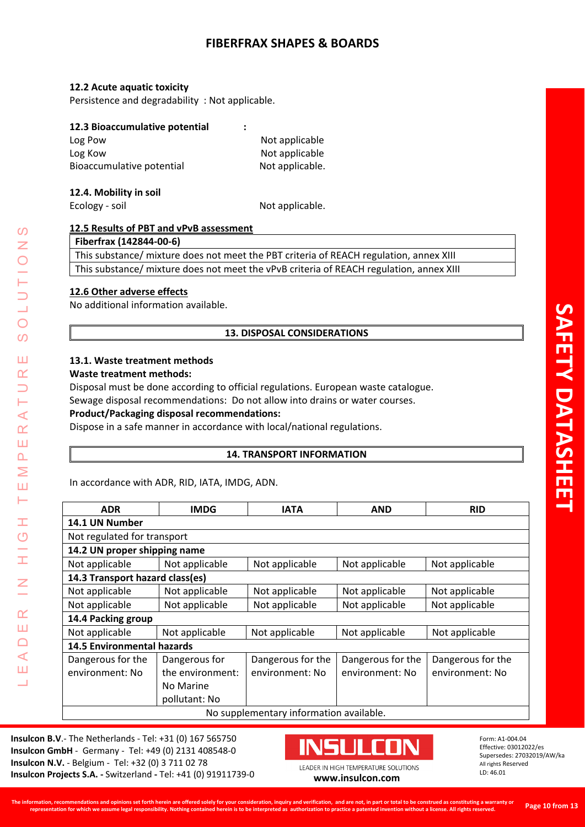#### **12.2 Acute aquatic toxicity**

Persistence and degradability : Not applicable.

#### **12.3 Bioaccumulative potential :**

| Log Pow                   | Not applicable  |
|---------------------------|-----------------|
| Log Kow                   | Not applicable  |
| Bioaccumulative potential | Not applicable. |

### **12.4. Mobility in soil**

Ecology - soil and Not applicable.

# **12.5 Results of PBT and vPvB assessment**

**Fiberfrax (142844-00-6)**

This substance/ mixture does not meet the PBT criteria of REACH regulation, annex XIII This substance/ mixture does not meet the vPvB criteria of REACH regulation, annex XIII

## **12.6 Other adverse effects**

No additional information available.

# **13. DISPOSAL CONSIDERATIONS**

## **13.1. Waste treatment methods**

#### **Waste treatment methods:**

LEADER IN HIGH TEMPERATURE SOLUTIONS

Ŧ  $\overline{O}$ 

H

 $\overline{z}$ 

 $\alpha$ Ш  $\Box$  $\blacktriangleleft$ Ш 山

 $\overline{O}$ Z

 $\overline{O}$  $\Omega$ 

Ш  $\alpha$  $\overline{\phantom{0}}$ Н  $\prec$  $\alpha$ Ш  $\overline{\mathbf{r}}$  $\geq$ Ш Н

Disposal must be done according to official regulations. European waste catalogue.

Sewage disposal recommendations: Do not allow into drains or water courses.

### **Product/Packaging disposal recommendations:**

Dispose in a safe manner in accordance with local/national regulations.

# **14. TRANSPORT INFORMATION**

In accordance with ADR, RID, IATA, IMDG, ADN.

| <b>ADR</b>                              | <b>IMDG</b>      | <b>IATA</b>       | <b>AND</b>        | <b>RID</b>        |
|-----------------------------------------|------------------|-------------------|-------------------|-------------------|
| 14.1 UN Number                          |                  |                   |                   |                   |
| Not regulated for transport             |                  |                   |                   |                   |
| 14.2 UN proper shipping name            |                  |                   |                   |                   |
| Not applicable                          | Not applicable   | Not applicable    | Not applicable    | Not applicable    |
| 14.3 Transport hazard class(es)         |                  |                   |                   |                   |
| Not applicable                          | Not applicable   | Not applicable    | Not applicable    | Not applicable    |
| Not applicable                          | Not applicable   | Not applicable    | Not applicable    | Not applicable    |
| 14.4 Packing group                      |                  |                   |                   |                   |
| Not applicable                          | Not applicable   | Not applicable    | Not applicable    | Not applicable    |
| <b>14.5 Environmental hazards</b>       |                  |                   |                   |                   |
| Dangerous for the                       | Dangerous for    | Dangerous for the | Dangerous for the | Dangerous for the |
| environment: No                         | the environment: | environment: No   | environment: No   | environment: No   |
|                                         | No Marine        |                   |                   |                   |
|                                         | pollutant: No    |                   |                   |                   |
| No supplementary information available. |                  |                   |                   |                   |

**Insulcon B.V**.- The Netherlands - Tel: +31 (0) 167 565750 **Insulcon GmbH** - Germany - Tel: +49 (0) 2131 408548-0 **Insulcon N.V.** - Belgium - Tel: +32 (0) 3 711 02 78 **Insulcon Projects S.A. -** Switzerland **-** Tel: +41 (0) 91911739-0 **[www.insulcon.com](http://www.insulcon.com/)**

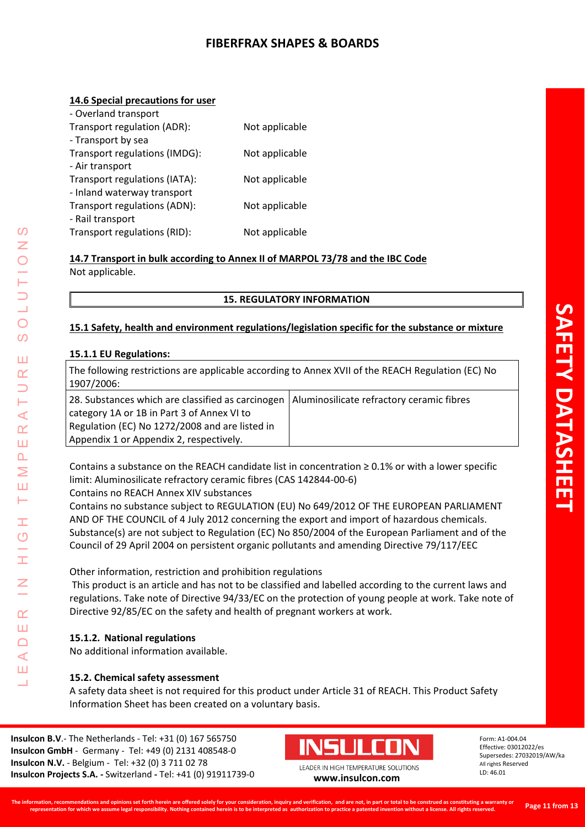## **14.6 Special precautions for user**

| - Overland transport          |                |
|-------------------------------|----------------|
| Transport regulation (ADR):   | Not applicable |
| - Transport by sea            |                |
| Transport regulations (IMDG): | Not applicable |
| - Air transport               |                |
| Transport regulations (IATA): | Not applicable |
| - Inland waterway transport   |                |
| Transport regulations (ADN):  | Not applicable |
| - Rail transport              |                |
| Transport regulations (RID):  | Not applicable |

**14.7 Transport in bulk according to Annex II of MARPOL 73/78 and the IBC Code** Not applicable.

## **15. REGULATORY INFORMATION**

# **15.1 Safety, health and environment regulations/legislation specific for the substance or mixture**

## **15.1.1 EU Regulations:**

LEADER IN HIGH TEMPERATURE SOLUTIONS

Ŧ  $\overline{O}$ 

I

 $\alpha$ Ш  $\Box$  $\prec$ Ш 山

<u>(၇</u> Z

 $\bigcirc$  $\overline{O}$ 

Ш  $\alpha$  $\overline{\phantom{0}}$ H  $\prec$  $\alpha$ Ш  $\overline{\mathbf{r}}$ Σ Ш Н

| The following restrictions are applicable according to Annex XVII of the REACH Regulation (EC) No<br>1907/2006:                                                                              |                                           |
|----------------------------------------------------------------------------------------------------------------------------------------------------------------------------------------------|-------------------------------------------|
| 28. Substances which are classified as carcinogen<br>category 1A or 1B in Part 3 of Annex VI to<br>Regulation (EC) No 1272/2008 and are listed in<br>Appendix 1 or Appendix 2, respectively. | Aluminosilicate refractory ceramic fibres |

Contains a substance on the REACH candidate list in concentration ≥ 0.1% or with a lower specific limit: Aluminosilicate refractory ceramic fibres (CAS 142844-00-6)

Contains no REACH Annex XIV substances

Contains no substance subject to REGULATION (EU) No 649/2012 OF THE EUROPEAN PARLIAMENT AND OF THE COUNCIL of 4 July 2012 concerning the export and import of hazardous chemicals. Substance(s) are not subject to Regulation (EC) No 850/2004 of the European Parliament and of the Council of 29 April 2004 on persistent organic pollutants and amending Directive 79/117/EEC

Other information, restriction and prohibition regulations

This product is an article and has not to be classified and labelled according to the current laws and regulations. Take note of Directive 94/33/EC on the protection of young people at work. Take note of Directive 92/85/EC on the safety and health of pregnant workers at work.

# **15.1.2. National regulations**

No additional information available.

# **15.2. Chemical safety assessment**

A safety data sheet is not required for this product under Article 31 of REACH. This Product Safety Information Sheet has been created on a voluntary basis.

**Insulcon B.V**.- The Netherlands - Tel: +31 (0) 167 565750 **Insulcon GmbH** - Germany - Tel: +49 (0) 2131 408548-0 **Insulcon N.V.** - Belgium - Tel: +32 (0) 3 711 02 78 **Insulcon Projects S.A. -** Switzerland **-** Tel: +41 (0) 91911739-0 **[www.insulcon.com](http://www.insulcon.com/)**

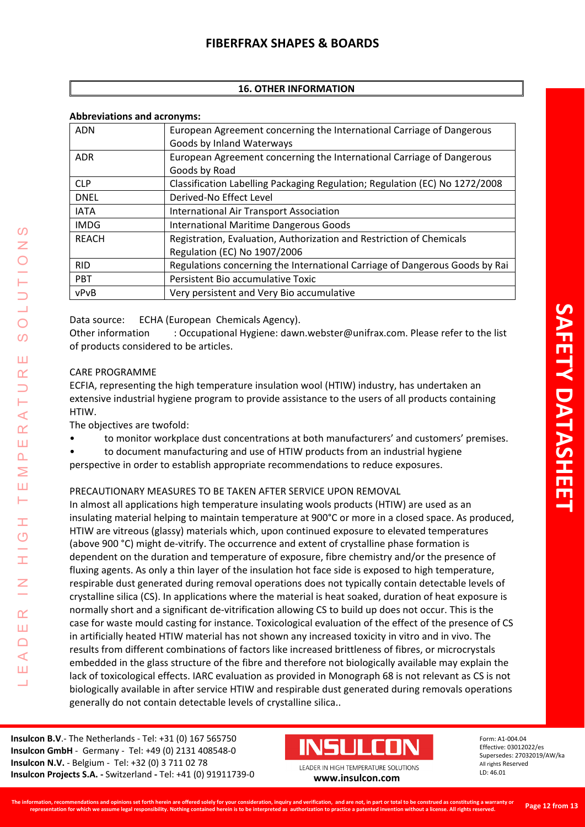# **16. OTHER INFORMATION**

#### **Abbreviations and acronyms:**

| <b>ADN</b>   | European Agreement concerning the International Carriage of Dangerous<br>Goods by Inland Waterways   |
|--------------|------------------------------------------------------------------------------------------------------|
| <b>ADR</b>   | European Agreement concerning the International Carriage of Dangerous<br>Goods by Road               |
| <b>CLP</b>   | Classification Labelling Packaging Regulation; Regulation (EC) No 1272/2008                          |
| <b>DNEL</b>  | Derived-No Effect Level                                                                              |
| <b>IATA</b>  | International Air Transport Association                                                              |
| <b>IMDG</b>  | International Maritime Dangerous Goods                                                               |
| <b>REACH</b> | Registration, Evaluation, Authorization and Restriction of Chemicals<br>Regulation (EC) No 1907/2006 |
| <b>RID</b>   | Regulations concerning the International Carriage of Dangerous Goods by Rai                          |
| <b>PBT</b>   | Persistent Bio accumulative Toxic                                                                    |
| vPvB         | Very persistent and Very Bio accumulative                                                            |

Data source: ECHA (European Chemicals Agency).

Other information : Occupational Hygiene: dawn.webster@unifrax.com. Please refer to the list of products considered to be articles.

#### CARE PROGRAMME

LEADER IN HIGH TEMPERATURE SOLUTIONS

Ŧ  $\overline{O}$ 

 $\alpha$ Ш  $\Box$ ⋖ Ш 山

<u>(၇</u>  $\overline{Z}$ 

 $\overline{O}$  $\overline{O}$ 

Ш  $\alpha$  $\overline{\phantom{0}}$ H  $\prec$  $\overline{\mathbf{r}}$ Ш  $\overline{\mathbf{r}}$ Σ Ш Н

ECFIA, representing the high temperature insulation wool (HTIW) industry, has undertaken an extensive industrial hygiene program to provide assistance to the users of all products containing HTIW.

The objectives are twofold:

• to monitor workplace dust concentrations at both manufacturers' and customers' premises.

• to document manufacturing and use of HTIW products from an industrial hygiene perspective in order to establish appropriate recommendations to reduce exposures.

#### PRECAUTIONARY MEASURES TO BE TAKEN AFTER SERVICE UPON REMOVAL

In almost all applications high temperature insulating wools products (HTIW) are used as an insulating material helping to maintain temperature at 900°C or more in a closed space. As produced, HTIW are vitreous (glassy) materials which, upon continued exposure to elevated temperatures (above 900 °C) might de-vitrify. The occurrence and extent of crystalline phase formation is dependent on the duration and temperature of exposure, fibre chemistry and/or the presence of fluxing agents. As only a thin layer of the insulation hot face side is exposed to high temperature, respirable dust generated during removal operations does not typically contain detectable levels of crystalline silica (CS). In applications where the material is heat soaked, duration of heat exposure is normally short and a significant de-vitrification allowing CS to build up does not occur. This is the case for waste mould casting for instance. Toxicological evaluation of the effect of the presence of CS in artificially heated HTIW material has not shown any increased toxicity in vitro and in vivo. The results from different combinations of factors like increased brittleness of fibres, or microcrystals embedded in the glass structure of the fibre and therefore not biologically available may explain the lack of toxicological effects. IARC evaluation as provided in Monograph 68 is not relevant as CS is not biologically available in after service HTIW and respirable dust generated during removals operations generally do not contain detectable levels of crystalline silica..

**Insulcon B.V**.- The Netherlands - Tel: +31 (0) 167 565750 **Insulcon GmbH** - Germany - Tel: +49 (0) 2131 408548-0 **Insulcon N.V.** - Belgium - Tel: +32 (0) 3 711 02 78 **Insulcon Projects S.A. -** Switzerland **-** Tel: +41 (0) 91911739-0 **[www.insulcon.com](http://www.insulcon.com/)**